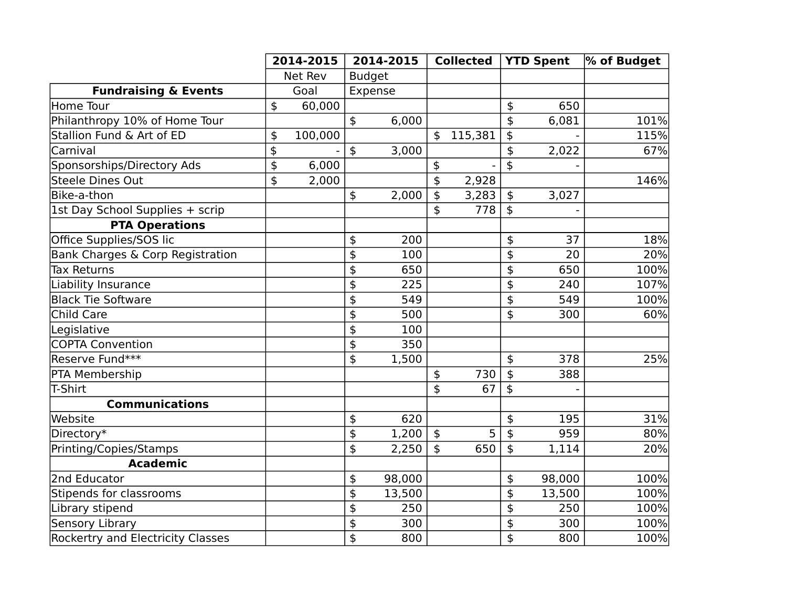|                                          | 2014-2015         |         | 2014-2015                 |               | <b>Collected</b> |         | <b>YTD Spent</b> |        | % of Budget |
|------------------------------------------|-------------------|---------|---------------------------|---------------|------------------|---------|------------------|--------|-------------|
|                                          |                   | Net Rev |                           | <b>Budget</b> |                  |         |                  |        |             |
| <b>Fundraising &amp; Events</b>          |                   | Goal    |                           | Expense       |                  |         |                  |        |             |
| Home Tour                                | $\frac{1}{2}$     | 60,000  |                           |               |                  |         | $\frac{4}{5}$    | 650    |             |
| Philanthropy 10% of Home Tour            |                   |         | $\frac{4}{5}$             | 6,000         |                  |         | $\mathfrak{S}$   | 6,081  | 101%        |
| Stallion Fund & Art of ED                | \$                | 100,000 |                           |               | $\mathfrak s$    | 115,381 | \$               |        | 115%        |
| Carnival                                 | \$                |         | $\ddot{\text{S}}$         | 3,000         |                  |         | $\frac{4}{5}$    | 2,022  | 67%         |
| Sponsorships/Directory Ads               | \$                | 6,000   |                           |               | \$               |         | \$               |        |             |
| Steele Dines Out                         | $\ddot{\text{S}}$ | 2,000   |                           |               | \$               | 2,928   |                  |        | 146%        |
| Bike-a-thon                              |                   |         | $\frac{1}{2}$             | 2,000         | \$               | 3,283   | $\frac{4}{5}$    | 3,027  |             |
| 1st Day School Supplies + scrip          |                   |         |                           |               | \$               | 778     | $\frac{4}{5}$    |        |             |
| <b>PTA Operations</b>                    |                   |         |                           |               |                  |         |                  |        |             |
| Office Supplies/SOS lic                  |                   |         | \$                        | 200           |                  |         | $\frac{4}{5}$    | 37     | 18%         |
| Bank Charges & Corp Registration         |                   |         | \$                        | 100           |                  |         | \$               | 20     | 20%         |
| <b>Tax Returns</b>                       |                   |         | \$                        | 650           |                  |         | \$               | 650    | 100%        |
| Liability Insurance                      |                   |         | \$                        | 225           |                  |         | $\ddot{\phi}$    | 240    | 107%        |
| <b>Black Tie Software</b>                |                   |         | \$                        | 549           |                  |         | $\frac{1}{2}$    | 549    | 100%        |
| Child Care                               |                   |         | \$                        | 500           |                  |         | $\frac{4}{5}$    | 300    | 60%         |
| Legislative                              |                   |         | \$                        | 100           |                  |         |                  |        |             |
| <b>COPTA Convention</b>                  |                   |         | \$                        | 350           |                  |         |                  |        |             |
| Reserve Fund***                          |                   |         | \$                        | 1,500         |                  |         | $\frac{4}{5}$    | 378    | 25%         |
| PTA Membership                           |                   |         |                           |               | \$               | 730     | $\frac{1}{2}$    | 388    |             |
| T-Shirt                                  |                   |         |                           |               | \$               | 67      | \$               |        |             |
| <b>Communications</b>                    |                   |         |                           |               |                  |         |                  |        |             |
| Website                                  |                   |         | \$                        | 620           |                  |         | $\frac{1}{2}$    | 195    | 31%         |
| Directory*                               |                   |         | $\frac{1}{2}$             | 1,200         | $\frac{1}{2}$    | 5       | $\frac{1}{2}$    | 959    | 80%         |
| Printing/Copies/Stamps                   |                   |         | $\overline{\mathfrak{s}}$ | 2,250         | $\mathfrak{S}$   | 650     | $\ddot{\bm{z}}$  | 1,114  | 20%         |
| <b>Academic</b>                          |                   |         |                           |               |                  |         |                  |        |             |
| 2nd Educator                             |                   |         | \$                        | 98,000        |                  |         | \$               | 98,000 | 100%        |
| Stipends for classrooms                  |                   |         | $\overline{\mathfrak{s}}$ | 13,500        |                  |         | \$               | 13,500 | 100%        |
| Library stipend                          |                   |         | \$                        | 250           |                  |         | \$               | 250    | 100%        |
| Sensory Library                          |                   |         | \$                        | 300           |                  |         | \$               | 300    | 100%        |
| <b>Rockertry and Electricity Classes</b> |                   |         | \$                        | 800           |                  |         | \$               | 800    | 100%        |